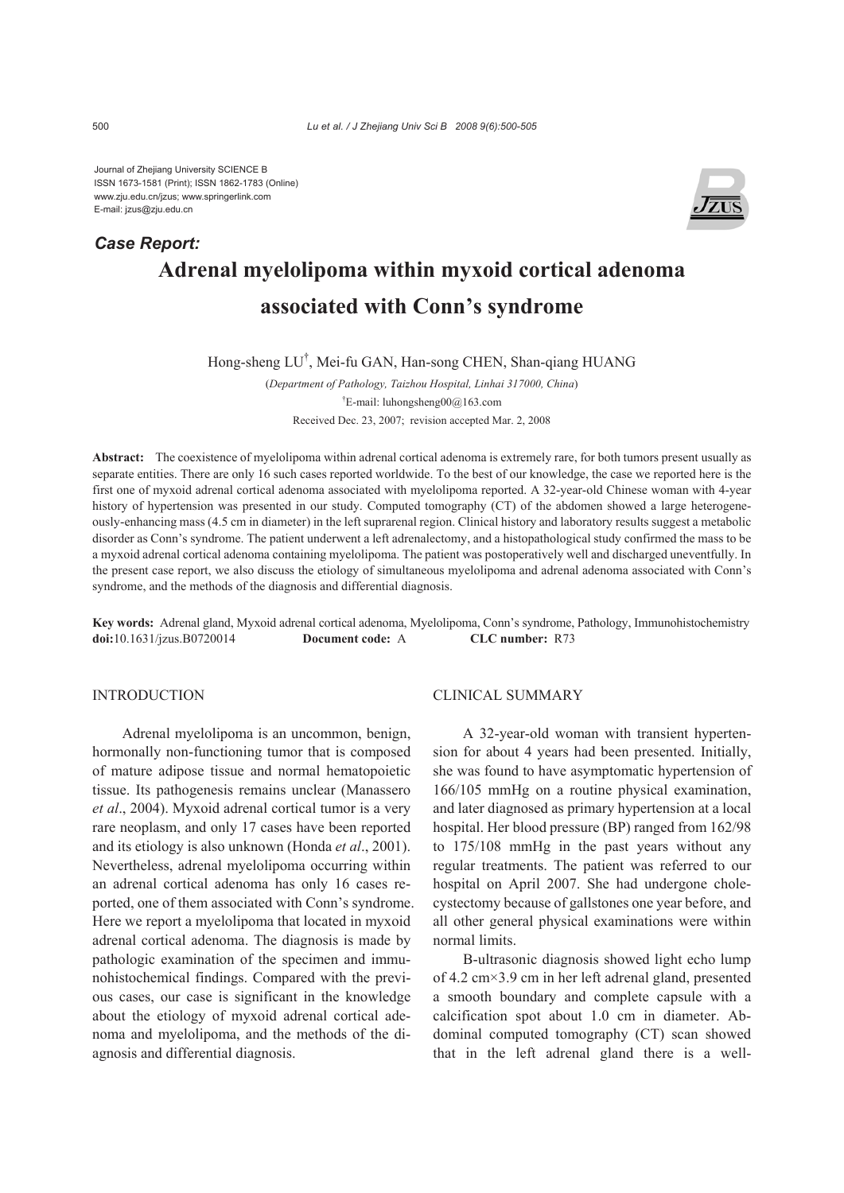Journal of Zhejiang University SCIENCE B ISSN 1673-1581 (Print); ISSN 1862-1783 (Online) www.zju.edu.cn/jzus; www.springerlink.com E-mail: jzus@zju.edu.cn

*Case Report:*



# **Adrenal myelolipoma within myxoid cortical adenoma associated with Conn's syndrome**

Hong-sheng LU† , Mei-fu GAN, Han-song CHEN, Shan-qiang HUANG

(*Department of Pathology, Taizhou Hospital, Linhai 317000, China*) † E-mail: luhongsheng00@163.com Received Dec. 23, 2007; revision accepted Mar. 2, 2008

**Abstract:** The coexistence of myelolipoma within adrenal cortical adenoma is extremely rare, for both tumors present usually as separate entities. There are only 16 such cases reported worldwide. To the best of our knowledge, the case we reported here is the first one of myxoid adrenal cortical adenoma associated with myelolipoma reported. A 32-year-old Chinese woman with 4-year history of hypertension was presented in our study. Computed tomography (CT) of the abdomen showed a large heterogeneously-enhancing mass (4.5 cm in diameter) in the left suprarenal region. Clinical history and laboratory results suggest a metabolic disorder as Conn's syndrome. The patient underwent a left adrenalectomy, and a histopathological study confirmed the mass to be a myxoid adrenal cortical adenoma containing myelolipoma. The patient was postoperatively well and discharged uneventfully. In the present case report, we also discuss the etiology of simultaneous myelolipoma and adrenal adenoma associated with Conn's syndrome, and the methods of the diagnosis and differential diagnosis.

**Key words:** Adrenal gland, Myxoid adrenal cortical adenoma, Myelolipoma, Conn's syndrome, Pathology, Immunohistochemistry **doi:**10.1631/jzus.B0720014 **Document code:** A **CLC number:** R73

# INTRODUCTION

Adrenal myelolipoma is an uncommon, benign, hormonally non-functioning tumor that is composed of mature adipose tissue and normal hematopoietic tissue. Its pathogenesis remains unclear (Manassero *et al*., 2004). Myxoid adrenal cortical tumor is a very rare neoplasm, and only 17 cases have been reported and its etiology is also unknown (Honda *et al*., 2001). Nevertheless, adrenal myelolipoma occurring within an adrenal cortical adenoma has only 16 cases reported, one of them associated with Conn's syndrome. Here we report a myelolipoma that located in myxoid adrenal cortical adenoma. The diagnosis is made by pathologic examination of the specimen and immunohistochemical findings. Compared with the previous cases, our case is significant in the knowledge about the etiology of myxoid adrenal cortical adenoma and myelolipoma, and the methods of the diagnosis and differential diagnosis.

# CLINICAL SUMMARY

A 32-year-old woman with transient hypertension for about 4 years had been presented. Initially, she was found to have asymptomatic hypertension of 166/105 mmHg on a routine physical examination, and later diagnosed as primary hypertension at a local hospital. Her blood pressure (BP) ranged from 162/98 to 175/108 mmHg in the past years without any regular treatments. The patient was referred to our hospital on April 2007. She had undergone cholecystectomy because of gallstones one year before, and all other general physical examinations were within normal limits.

B-ultrasonic diagnosis showed light echo lump of 4.2 cm×3.9 cm in her left adrenal gland, presented a smooth boundary and complete capsule with a calcification spot about 1.0 cm in diameter. Abdominal computed tomography (CT) scan showed that in the left adrenal gland there is a well-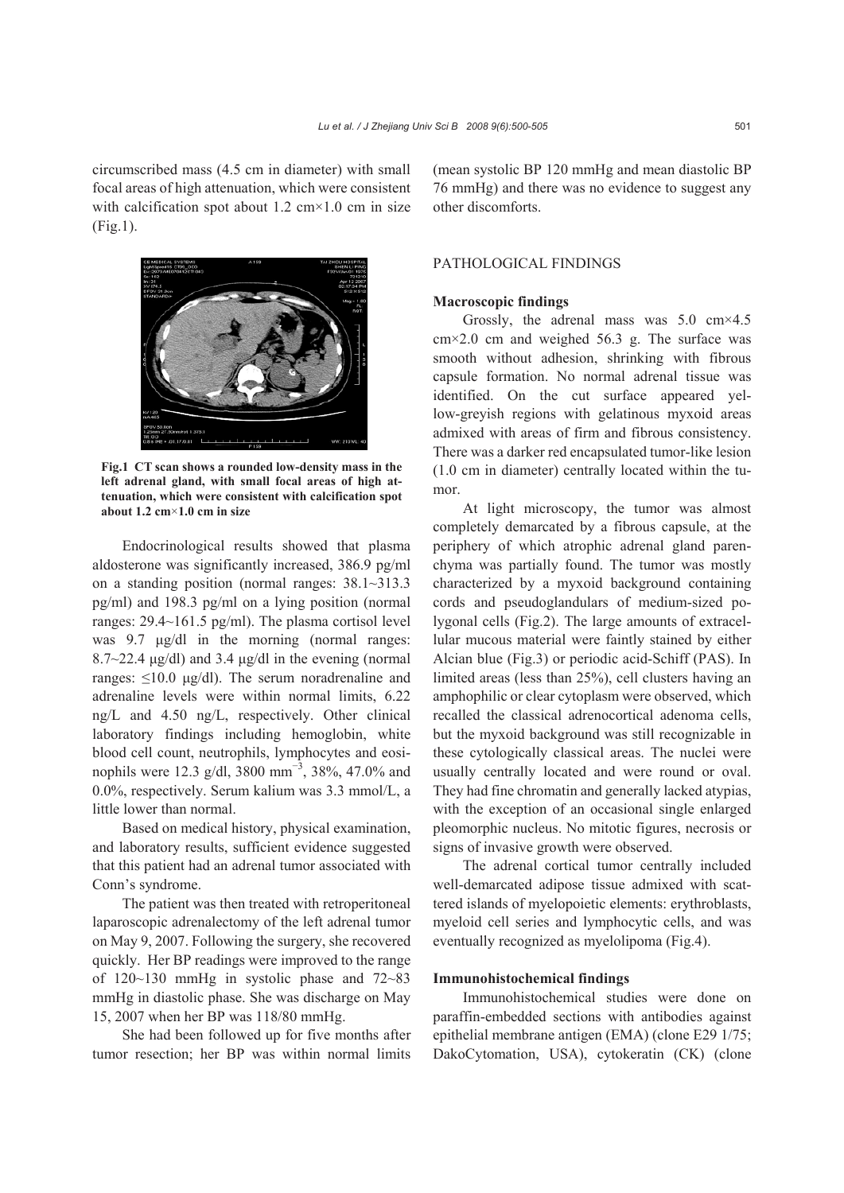circumscribed mass (4.5 cm in diameter) with small focal areas of high attenuation, which were consistent with calcification spot about  $1.2 \text{ cm} \times 1.0 \text{ cm}$  in size (Fig.1).



**Fig.1 CT scan shows a rounded low-density mass in the left adrenal gland, with small focal areas of high attenuation, which were consistent with calcification spot about 1.2 cm**×**1.0 cm in size** 

Endocrinological results showed that plasma aldosterone was significantly increased, 386.9 pg/ml on a standing position (normal ranges: 38.1~313.3 pg/ml) and 198.3 pg/ml on a lying position (normal ranges: 29.4~161.5 pg/ml). The plasma cortisol level was 9.7 μg/dl in the morning (normal ranges:  $8.7 \sim 22.4$  μg/dl) and 3.4 μg/dl in the evening (normal ranges:  $\leq$ 10.0 μg/dl). The serum noradrenaline and adrenaline levels were within normal limits, 6.22 ng/L and 4.50 ng/L, respectively. Other clinical laboratory findings including hemoglobin, white blood cell count, neutrophils, lymphocytes and eosinophils were 12.3 g/dl, 3800 mm<sup>-3</sup>, 38%, 47.0% and 0.0%, respectively. Serum kalium was 3.3 mmol/L, a little lower than normal.

Based on medical history, physical examination, and laboratory results, sufficient evidence suggested that this patient had an adrenal tumor associated with Conn's syndrome.

The patient was then treated with retroperitoneal laparoscopic adrenalectomy of the left adrenal tumor on May 9, 2007. Following the surgery, she recovered quickly. Her BP readings were improved to the range of 120~130 mmHg in systolic phase and 72~83 mmHg in diastolic phase. She was discharge on May 15, 2007 when her BP was 118/80 mmHg.

She had been followed up for five months after tumor resection; her BP was within normal limits

(mean systolic BP 120 mmHg and mean diastolic BP 76 mmHg) and there was no evidence to suggest any other discomforts.

### PATHOLOGICAL FINDINGS

### **Macroscopic findings**

Grossly, the adrenal mass was  $5.0 \text{ cm} \times 4.5$ cm×2.0 cm and weighed 56.3 g. The surface was smooth without adhesion, shrinking with fibrous capsule formation. No normal adrenal tissue was identified. On the cut surface appeared yellow-greyish regions with gelatinous myxoid areas admixed with areas of firm and fibrous consistency. There was a darker red encapsulated tumor-like lesion (1.0 cm in diameter) centrally located within the tumor.

At light microscopy, the tumor was almost completely demarcated by a fibrous capsule, at the periphery of which atrophic adrenal gland parenchyma was partially found. The tumor was mostly characterized by a myxoid background containing cords and pseudoglandulars of medium-sized polygonal cells (Fig.2). The large amounts of extracellular mucous material were faintly stained by either Alcian blue (Fig.3) or periodic acid-Schiff (PAS). In limited areas (less than 25%), cell clusters having an amphophilic or clear cytoplasm were observed, which recalled the classical adrenocortical adenoma cells, but the myxoid background was still recognizable in these cytologically classical areas. The nuclei were usually centrally located and were round or oval. They had fine chromatin and generally lacked atypias, with the exception of an occasional single enlarged pleomorphic nucleus. No mitotic figures, necrosis or signs of invasive growth were observed.

The adrenal cortical tumor centrally included well-demarcated adipose tissue admixed with scattered islands of myelopoietic elements: erythroblasts, myeloid cell series and lymphocytic cells, and was eventually recognized as myelolipoma (Fig.4).

# **Immunohistochemical findings**

Immunohistochemical studies were done on paraffin-embedded sections with antibodies against epithelial membrane antigen (EMA) (clone E29 1/75; DakoCytomation, USA), cytokeratin (CK) (clone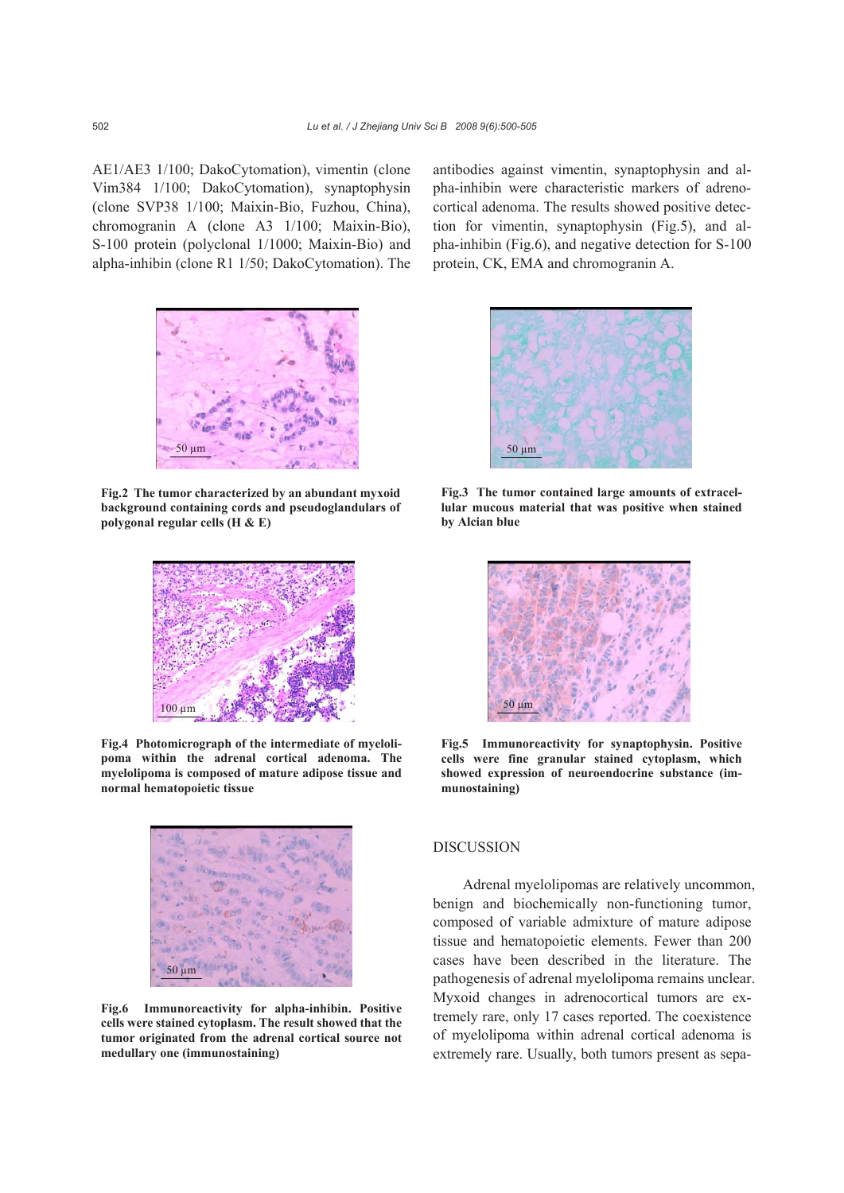AE1/AE3 1/100; DakoCytomation), vimentin (clone Vim384 1/100; DakoCytomation), synaptophysin (clone SVP38 1/100; Maixin-Bio, Fuzhou, China), chromogranin A (clone A3 1/100; Maixin-Bio), S-100 protein (polyclonal 1/1000; Maixin-Bio) and alpha-inhibin (clone R1 1/50; DakoCytomation). The



**Fig.2 The tumor characterized by an abundant myxoid background containing cords and pseudoglandulars of polygonal regular cells (H & E)**



**Fig.4 Photomicrograph of the intermediate of myelolipoma within the adrenal cortical adenoma. The myelolipoma is composed of mature adipose tissue and normal hematopoietic tissue**



**Fig.6 Immunoreactivity for alpha-inhibin. Positive cells were stained cytoplasm. The result showed that the tumor originated from the adrenal cortical source not medullary one (immunostaining)**

antibodies against vimentin, synaptophysin and alpha-inhibin were characteristic markers of adrenocortical adenoma. The results showed positive detection for vimentin, synaptophysin (Fig.5), and alpha-inhibin (Fig.6), and negative detection for S-100 protein, CK, EMA and chromogranin A.



**Fig.3 The tumor contained large amounts of extracellular mucous material that was positive when stained by Alcian blue**



**Fig.5 Immunoreactivity for synaptophysin. Positive cells were fine granular stained cytoplasm, which showed expression of neuroendocrine substance (immunostaining)**

# DISCUSSION

Adrenal myelolipomas are relatively uncommon, benign and biochemically non-functioning tumor, composed of variable admixture of mature adipose tissue and hematopoietic elements. Fewer than 200 cases have been described in the literature. The pathogenesis of adrenal myelolipoma remains unclear. Myxoid changes in adrenocortical tumors are extremely rare, only 17 cases reported. The coexistence of myelolipoma within adrenal cortical adenoma is extremely rare. Usually, both tumors present as sepa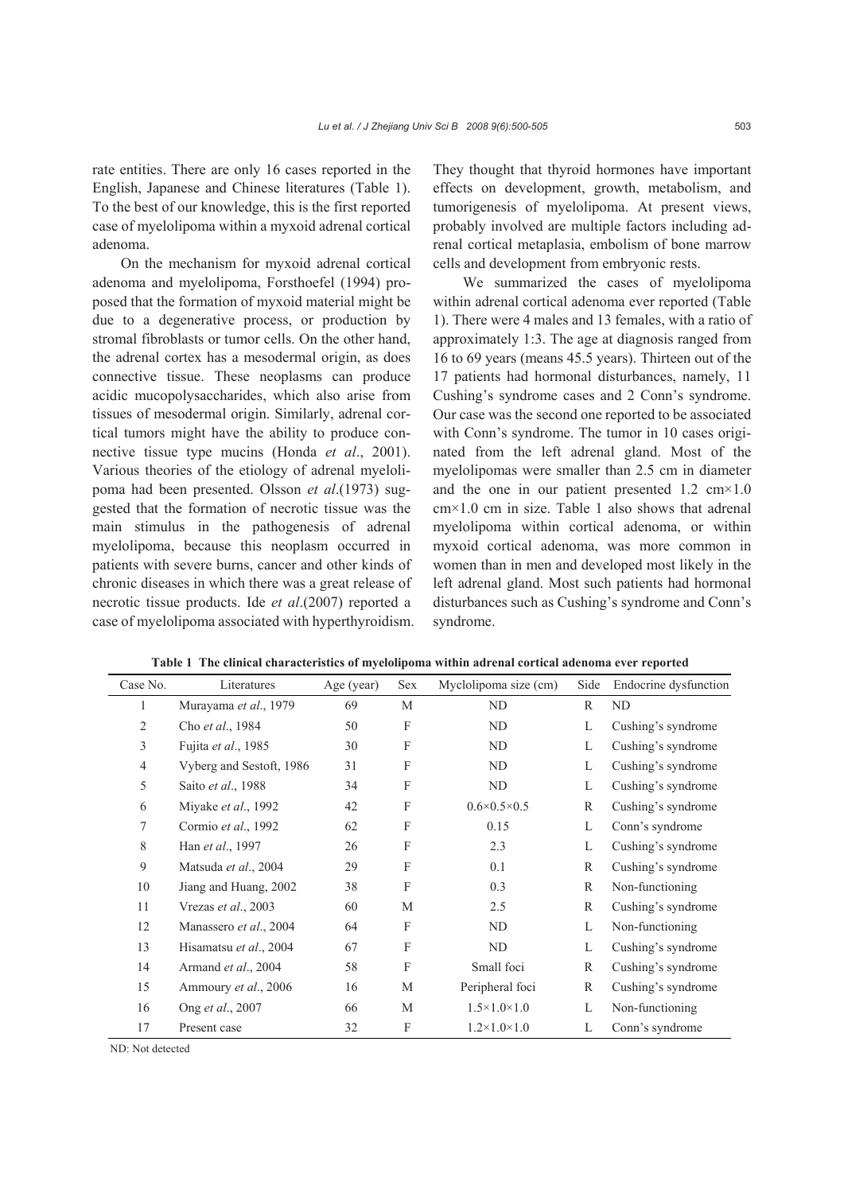rate entities. There are only 16 cases reported in the English, Japanese and Chinese literatures (Table 1). To the best of our knowledge, this is the first reported case of myelolipoma within a myxoid adrenal cortical adenoma.

On the mechanism for myxoid adrenal cortical adenoma and myelolipoma, Forsthoefel (1994) proposed that the formation of myxoid material might be due to a degenerative process, or production by stromal fibroblasts or tumor cells. On the other hand, the adrenal cortex has a mesodermal origin, as does connective tissue. These neoplasms can produce acidic mucopolysaccharides, which also arise from tissues of mesodermal origin. Similarly, adrenal cortical tumors might have the ability to produce connective tissue type mucins (Honda *et al*., 2001). Various theories of the etiology of adrenal myelolipoma had been presented. Olsson *et al*.(1973) suggested that the formation of necrotic tissue was the main stimulus in the pathogenesis of adrenal myelolipoma, because this neoplasm occurred in patients with severe burns, cancer and other kinds of chronic diseases in which there was a great release of necrotic tissue products. Ide *et al*.(2007) reported a case of myelolipoma associated with hyperthyroidism. They thought that thyroid hormones have important effects on development, growth, metabolism, and tumorigenesis of myelolipoma. At present views, probably involved are multiple factors including adrenal cortical metaplasia, embolism of bone marrow cells and development from embryonic rests.

We summarized the cases of myelolipoma within adrenal cortical adenoma ever reported (Table 1). There were 4 males and 13 females, with a ratio of approximately 1:3. The age at diagnosis ranged from 16 to 69 years (means 45.5 years). Thirteen out of the 17 patients had hormonal disturbances, namely, 11 Cushing's syndrome cases and 2 Conn's syndrome. Our case was the second one reported to be associated with Conn's syndrome. The tumor in 10 cases originated from the left adrenal gland. Most of the myelolipomas were smaller than 2.5 cm in diameter and the one in our patient presented  $1.2 \text{ cm} \times 1.0$ cm×1.0 cm in size. Table 1 also shows that adrenal myelolipoma within cortical adenoma, or within myxoid cortical adenoma, was more common in women than in men and developed most likely in the left adrenal gland. Most such patients had hormonal disturbances such as Cushing's syndrome and Conn's syndrome.

| Case No.       | Literatures              | Age (year) | <b>Sex</b>       | Myclolipoma size (cm)       | Side         | Endocrine dysfunction |
|----------------|--------------------------|------------|------------------|-----------------------------|--------------|-----------------------|
| 1              | Murayama et al., 1979    | 69         | M                | ND                          | R            | ND                    |
| 2              | Cho et al., 1984         | 50         | $\mathbf{F}$     | ND                          | L            | Cushing's syndrome    |
| 3              | Fujita et al., 1985      | 30         | $\mathbf F$      | ND                          | L            | Cushing's syndrome    |
| $\overline{4}$ | Vyberg and Sestoft, 1986 | 31         | $\mathbf F$      | ND                          | L            | Cushing's syndrome    |
| 5              | Saito et al., 1988       | 34         | $\mathbf F$      | ND                          | L            | Cushing's syndrome    |
| 6              | Miyake et al., 1992      | 42         | $\mathbf F$      | $0.6 \times 0.5 \times 0.5$ | R            | Cushing's syndrome    |
| 7              | Cormio et al., 1992      | 62         | F                | 0.15                        | L            | Conn's syndrome       |
| 8              | Han <i>et al.</i> , 1997 | 26         | F                | 2.3                         | L            | Cushing's syndrome    |
| 9              | Matsuda et al., 2004     | 29         | $\mathbf{F}$     | 0.1                         | R            | Cushing's syndrome    |
| 10             | Jiang and Huang, 2002    | 38         | $\mathbf{F}$     | 0.3                         | $\mathbb{R}$ | Non-functioning       |
| 11             | Vrezas et al., 2003      | 60         | M                | 2.5                         | $\mathbb{R}$ | Cushing's syndrome    |
| 12             | Manassero et al., 2004   | 64         | F                | ND                          | L            | Non-functioning       |
| 13             | Hisamatsu et al., 2004   | 67         | $\mathbf{F}$     | ND                          | L            | Cushing's syndrome    |
| 14             | Armand et al., 2004      | 58         | $\boldsymbol{F}$ | Small foci                  | $\mathbb{R}$ | Cushing's syndrome    |
| 15             | Ammoury et al., 2006     | 16         | M                | Peripheral foci             | $\mathbb{R}$ | Cushing's syndrome    |
| 16             | Ong et al., 2007         | 66         | М                | $1.5 \times 1.0 \times 1.0$ | L            | Non-functioning       |
| 17             | Present case             | 32         | F                | $1.2 \times 1.0 \times 1.0$ | L            | Conn's syndrome       |

**Table 1 The clinical characteristics of myelolipoma within adrenal cortical adenoma ever reported** 

ND: Not detected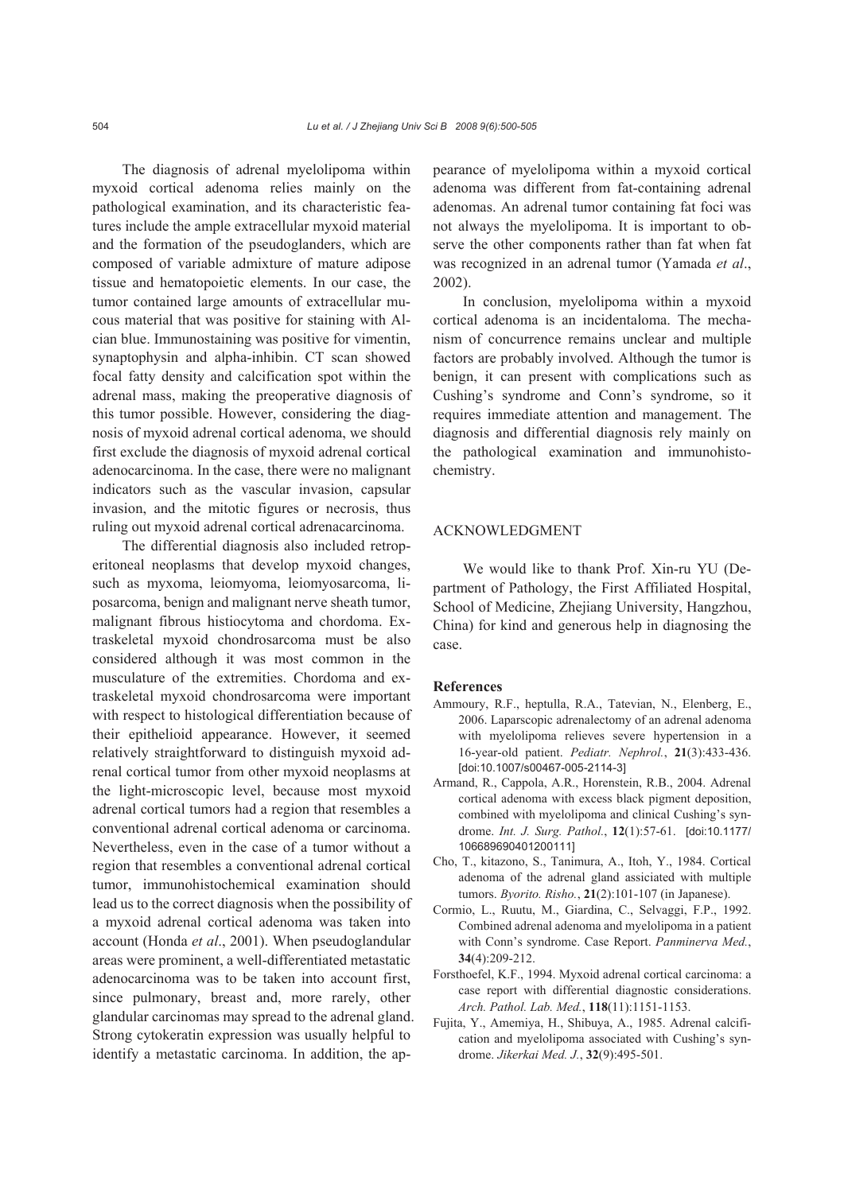The diagnosis of adrenal myelolipoma within myxoid cortical adenoma relies mainly on the pathological examination, and its characteristic features include the ample extracellular myxoid material and the formation of the pseudoglanders, which are composed of variable admixture of mature adipose tissue and hematopoietic elements. In our case, the tumor contained large amounts of extracellular mucous material that was positive for staining with Alcian blue. Immunostaining was positive for vimentin, synaptophysin and alpha-inhibin. CT scan showed focal fatty density and calcification spot within the adrenal mass, making the preoperative diagnosis of this tumor possible. However, considering the diagnosis of myxoid adrenal cortical adenoma, we should first exclude the diagnosis of myxoid adrenal cortical adenocarcinoma. In the case, there were no malignant indicators such as the vascular invasion, capsular invasion, and the mitotic figures or necrosis, thus ruling out myxoid adrenal cortical adrenacarcinoma.

The differential diagnosis also included retroperitoneal neoplasms that develop myxoid changes, such as myxoma, leiomyoma, leiomyosarcoma, liposarcoma, benign and malignant nerve sheath tumor, malignant fibrous histiocytoma and chordoma. Extraskeletal myxoid chondrosarcoma must be also considered although it was most common in the musculature of the extremities. Chordoma and extraskeletal myxoid chondrosarcoma were important with respect to histological differentiation because of their epithelioid appearance. However, it seemed relatively straightforward to distinguish myxoid adrenal cortical tumor from other myxoid neoplasms at the light-microscopic level, because most myxoid adrenal cortical tumors had a region that resembles a conventional adrenal cortical adenoma or carcinoma. Nevertheless, even in the case of a tumor without a region that resembles a conventional adrenal cortical tumor, immunohistochemical examination should lead us to the correct diagnosis when the possibility of a myxoid adrenal cortical adenoma was taken into account (Honda *et al*., 2001). When pseudoglandular areas were prominent, a well-differentiated metastatic adenocarcinoma was to be taken into account first, since pulmonary, breast and, more rarely, other glandular carcinomas may spread to the adrenal gland. Strong cytokeratin expression was usually helpful to identify a metastatic carcinoma. In addition, the appearance of myelolipoma within a myxoid cortical adenoma was different from fat-containing adrenal adenomas. An adrenal tumor containing fat foci was not always the myelolipoma. It is important to observe the other components rather than fat when fat was recognized in an adrenal tumor (Yamada *et al*., 2002).

In conclusion, myelolipoma within a myxoid cortical adenoma is an incidentaloma. The mechanism of concurrence remains unclear and multiple factors are probably involved. Although the tumor is benign, it can present with complications such as Cushing's syndrome and Conn's syndrome, so it requires immediate attention and management. The diagnosis and differential diagnosis rely mainly on the pathological examination and immunohistochemistry.

# ACKNOWLEDGMENT

We would like to thank Prof. Xin-ru YU (Department of Pathology, the First Affiliated Hospital, School of Medicine, Zhejiang University, Hangzhou, China) for kind and generous help in diagnosing the case.

#### **References**

- Ammoury, R.F., heptulla, R.A., Tatevian, N., Elenberg, E., 2006. Laparscopic adrenalectomy of an adrenal adenoma with myelolipoma relieves severe hypertension in a 16-year-old patient. *Pediatr. Nephrol.*, **21**(3):433-436. [doi:10.1007/s00467-005-2114-3]
- Armand, R., Cappola, A.R., Horenstein, R.B., 2004. Adrenal cortical adenoma with excess black pigment deposition, combined with myelolipoma and clinical Cushing's syndrome. *Int. J. Surg. Pathol.*, **12**(1):57-61. [doi:10.1177/ 106689690401200111]
- Cho, T., kitazono, S., Tanimura, A., Itoh, Y., 1984. Cortical adenoma of the adrenal gland assiciated with multiple tumors. *Byorito. Risho.*, **21**(2):101-107 (in Japanese).
- Cormio, L., Ruutu, M., Giardina, C., Selvaggi, F.P., 1992. Combined adrenal adenoma and myelolipoma in a patient with Conn's syndrome. Case Report. *Panminerva Med.*, **34**(4):209-212.
- Forsthoefel, K.F., 1994. Myxoid adrenal cortical carcinoma: a case report with differential diagnostic considerations. *Arch. Pathol. Lab. Med.*, **118**(11):1151-1153.
- Fujita, Y., Amemiya, H., Shibuya, A., 1985. Adrenal calcification and myelolipoma associated with Cushing's syndrome. *Jikerkai Med. J.*, **32**(9):495-501.